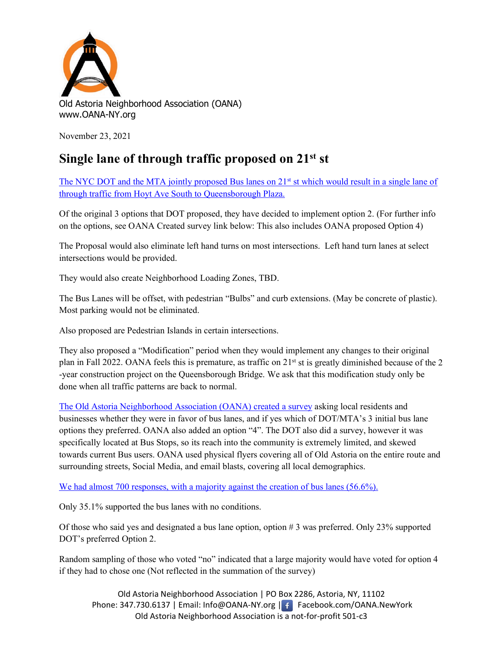

November 23, 2021

## **Single lane of through traffic proposed on 21st st**

The NYC DOT and the MTA jointly proposed Bus lanes on  $21<sup>st</sup>$  st which would result in a single lane of [through traffic from Hoyt Ave South to Queensborough Plaza.](https://www1.nyc.gov/html/dot/downloads/pdf/21-st-bus-priority-safety-study-cab4-nov2021.pdf)

Of the original 3 options that DOT proposed, they have decided to implement option 2. (For further info on the options, see OANA Created survey link below: This also includes OANA proposed Option 4)

The Proposal would also eliminate left hand turns on most intersections. Left hand turn lanes at select intersections would be provided.

They would also create Neighborhood Loading Zones, TBD.

The Bus Lanes will be offset, with pedestrian "Bulbs" and curb extensions. (May be concrete of plastic). Most parking would not be eliminated.

Also proposed are Pedestrian Islands in certain intersections.

They also proposed a "Modification" period when they would implement any changes to their original plan in Fall 2022. OANA feels this is premature, as traffic on  $21<sup>st</sup>$  st is greatly diminished because of the 2 -year construction project on the Queensborough Bridge. We ask that this modification study only be done when all traffic patterns are back to normal.

[The Old Astoria Neighborhood Association \(OANA\) created a survey](https://docs.google.com/forms/d/e/1FAIpQLSdixeI1p838tjXxPywlLv9aGmdDUgwO8lWGDtqMLN1omB_8vA/viewform) asking local residents and businesses whether they were in favor of bus lanes, and if yes which of DOT/MTA's 3 initial bus lane options they preferred. OANA also added an option "4". The DOT also did a survey, however it was specifically located at Bus Stops, so its reach into the community is extremely limited, and skewed towards current Bus users. OANA used physical flyers covering all of Old Astoria on the entire route and surrounding streets, Social Media, and email blasts, covering all local demographics.

[We had almost 700 responses, with a majority against the creation of bus lanes \(56.6%\).](https://oana-ny.org/21st-street-proposed-bus-lanes-option/)

Only 35.1% supported the bus lanes with no conditions.

Of those who said yes and designated a bus lane option, option # 3 was preferred. Only 23% supported DOT's preferred Option 2.

Random sampling of those who voted "no" indicated that a large majority would have voted for option 4 if they had to chose one (Not reflected in the summation of the survey)

Old Astoria Neighborhood Association | PO Box 2286, Astoria, NY, 11102 Phone: 347.730.6137 | Email: Info@OANA-NY.org | f | Facebook.com/OANA.NewYork Old Astoria Neighborhood Association is a not-for-profit 501-c3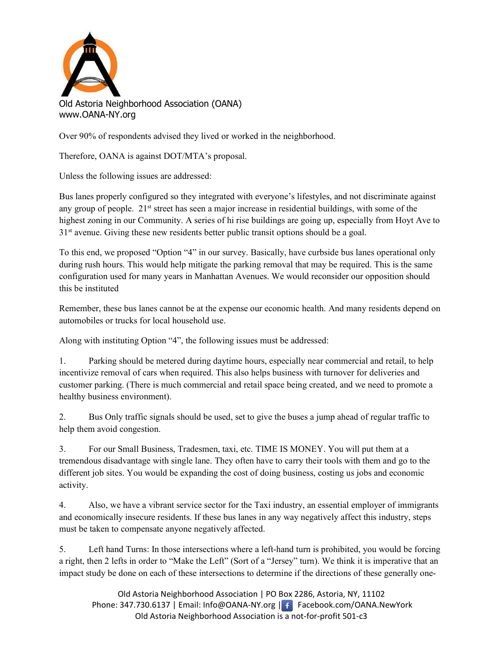

Old Astoria Neighborhood Association (OANA) www.OANA-NY.org

Over 90% of respondents advised they lived or worked in the neighborhood.

Therefore, OANA is against DOT/MTA's proposal.

Unless the following issues are addressed:

Bus lanes properly configured so they integrated with everyone's lifestyles, and not discriminate against any group of people. 21<sup>st</sup> street has seen a major increase in residential buildings, with some of the highest zoning in our Community. A series of hi rise buildings are going up, especially from Hoyt Ave to  $31<sup>st</sup>$  avenue. Giving these new residents better public transit options should be a goal.

To this end, we proposed "Option "4" in our survey. Basically, have curbside bus lanes operational only during rush hours. This would help mitigate the parking removal that may be required. This is the same configuration used for many years in Manhattan Avenues. We would reconsider our opposition should this be instituted

Remember, these bus lanes cannot be at the expense our economic health. And many residents depend on automobiles or trucks for local household use.

Along with instituting Option "4", the following issues must be addressed:

1. Parking should be metered during daytime hours, especially near commercial and retail, to help incentivize removal of cars when required. This also helps business with turnover for deliveries and customer parking. (There is much commercial and retail space being created, and we need to promote a healthy business environment).

2. Bus Only traffic signals should be used, set to give the buses a jump ahead of regular traffic to help them avoid congestion.

3. For our Small Business, Tradesmen, taxi, etc. TIME IS MONEY. You will put them at a tremendous disadvantage with single lane. They often have to carry their tools with them and go to the different job sites. You would be expanding the cost of doing business, costing us jobs and economic activity.

4. Also, we have a vibrant service sector for the Taxi industry, an essential employer of immigrants and economically insecure residents. If these bus lanes in any way negatively affect this industry, steps must be taken to compensate anyone negatively affected.

5. Left hand Turns: In those intersections where a left-hand turn is prohibited, you would be forcing a right, then 2 lefts in order to "Make the Left" (Sort of a "Jersey" turn). We think it is imperative that an impact study be done on each of these intersections to determine if the directions of these generally one-

Old Astoria Neighborhood Association | PO Box 2286, Astoria, NY, 11102 Phone: 347.730.6137 | Email: Info@OANA-NY.org | Facebook.com/OANA.NewYork Old Astoria Neighborhood Association is a not-for-profit 501-c3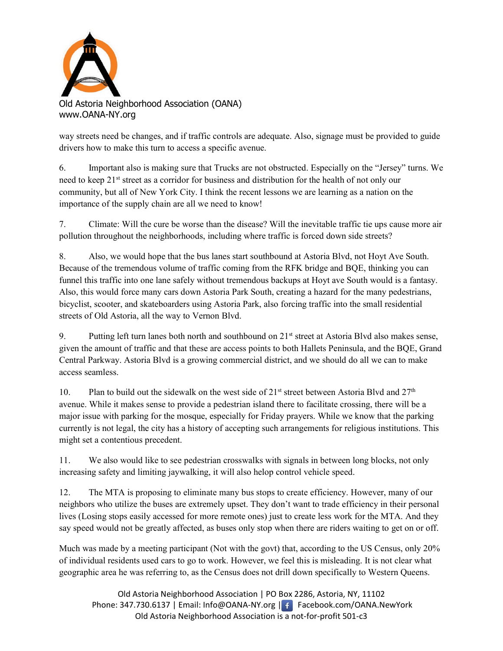

Old Astoria Neighborhood Association (OANA) www.OANA-NY.org

way streets need be changes, and if traffic controls are adequate. Also, signage must be provided to guide drivers how to make this turn to access a specific avenue.

6. Important also is making sure that Trucks are not obstructed. Especially on the "Jersey" turns. We need to keep 21<sup>st</sup> street as a corridor for business and distribution for the health of not only our community, but all of New York City. I think the recent lessons we are learning as a nation on the importance of the supply chain are all we need to know!

7. Climate: Will the cure be worse than the disease? Will the inevitable traffic tie ups cause more air pollution throughout the neighborhoods, including where traffic is forced down side streets?

8. Also, we would hope that the bus lanes start southbound at Astoria Blvd, not Hoyt Ave South. Because of the tremendous volume of traffic coming from the RFK bridge and BQE, thinking you can funnel this traffic into one lane safely without tremendous backups at Hoyt ave South would is a fantasy. Also, this would force many cars down Astoria Park South, creating a hazard for the many pedestrians, bicyclist, scooter, and skateboarders using Astoria Park, also forcing traffic into the small residential streets of Old Astoria, all the way to Vernon Blvd.

9. Putting left turn lanes both north and southbound on 21<sup>st</sup> street at Astoria Blvd also makes sense, given the amount of traffic and that these are access points to both Hallets Peninsula, and the BQE, Grand Central Parkway. Astoria Blvd is a growing commercial district, and we should do all we can to make access seamless.

10. Plan to build out the sidewalk on the west side of  $21^{st}$  street between Astoria Blvd and  $27^{th}$ avenue. While it makes sense to provide a pedestrian island there to facilitate crossing, there will be a major issue with parking for the mosque, especially for Friday prayers. While we know that the parking currently is not legal, the city has a history of accepting such arrangements for religious institutions. This might set a contentious precedent.

11. We also would like to see pedestrian crosswalks with signals in between long blocks, not only increasing safety and limiting jaywalking, it will also helop control vehicle speed.

12. The MTA is proposing to eliminate many bus stops to create efficiency. However, many of our neighbors who utilize the buses are extremely upset. They don't want to trade efficiency in their personal lives (Losing stops easily accessed for more remote ones) just to create less work for the MTA. And they say speed would not be greatly affected, as buses only stop when there are riders waiting to get on or off.

Much was made by a meeting participant (Not with the govt) that, according to the US Census, only 20% of individual residents used cars to go to work. However, we feel this is misleading. It is not clear what geographic area he was referring to, as the Census does not drill down specifically to Western Queens.

Old Astoria Neighborhood Association | PO Box 2286, Astoria, NY, 11102 Phone: 347.730.6137 | Email: Info@OANA-NY.org | Facebook.com/OANA.NewYork Old Astoria Neighborhood Association is a not-for-profit 501-c3